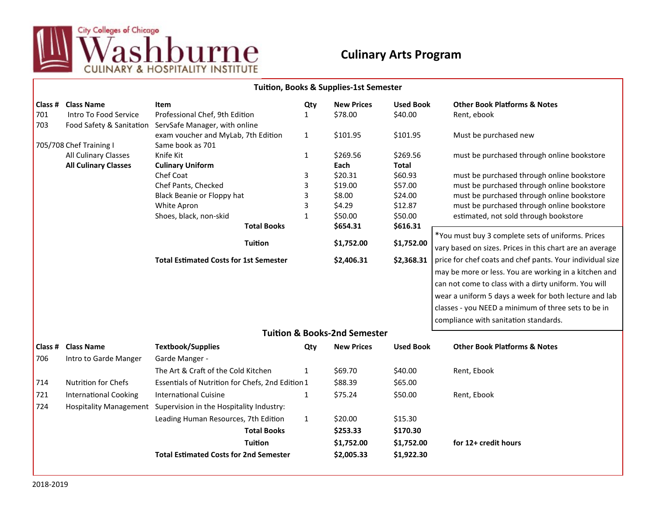

## **Culinary Arts Program**

| Tuition, Books & Supplies-1st Semester |                                            |                                                                 |              |                                         |                  |                                                                                                               |  |  |  |
|----------------------------------------|--------------------------------------------|-----------------------------------------------------------------|--------------|-----------------------------------------|------------------|---------------------------------------------------------------------------------------------------------------|--|--|--|
| Class #                                | <b>Class Name</b><br>Intro To Food Service | <b>Item</b>                                                     | Qty          | <b>New Prices</b>                       | <b>Used Book</b> | <b>Other Book Platforms &amp; Notes</b>                                                                       |  |  |  |
| 701<br>703                             | Food Safety & Sanitation                   | Professional Chef, 9th Edition<br>ServSafe Manager, with online | $\mathbf{1}$ | \$78.00                                 | \$40.00          | Rent, ebook                                                                                                   |  |  |  |
|                                        |                                            | exam voucher and MyLab, 7th Edition                             | $\mathbf{1}$ | \$101.95                                | \$101.95         | Must be purchased new                                                                                         |  |  |  |
| 705/708 Chef Training I                |                                            | Same book as 701                                                |              |                                         |                  |                                                                                                               |  |  |  |
|                                        | All Culinary Classes                       | Knife Kit                                                       | $\mathbf{1}$ | \$269.56                                | \$269.56         | must be purchased through online bookstore                                                                    |  |  |  |
|                                        | <b>All Culinary Classes</b>                | <b>Culinary Uniform</b>                                         |              | Each                                    | <b>Total</b>     |                                                                                                               |  |  |  |
|                                        |                                            | Chef Coat                                                       | 3            | \$20.31                                 | \$60.93          | must be purchased through online bookstore                                                                    |  |  |  |
|                                        |                                            | Chef Pants, Checked                                             | 3            | \$19.00                                 | \$57.00          | must be purchased through online bookstore                                                                    |  |  |  |
|                                        |                                            | Black Beanie or Floppy hat                                      | 3            | \$8.00                                  | \$24.00          | must be purchased through online bookstore                                                                    |  |  |  |
|                                        |                                            | White Apron                                                     | 3            | \$4.29                                  | \$12.87          | must be purchased through online bookstore                                                                    |  |  |  |
|                                        |                                            | Shoes, black, non-skid                                          | $\mathbf{1}$ | \$50.00                                 | \$50.00          | estimated, not sold through bookstore                                                                         |  |  |  |
|                                        |                                            | <b>Total Books</b>                                              |              | \$654.31                                | \$616.31         |                                                                                                               |  |  |  |
|                                        |                                            | <b>Tuition</b>                                                  |              | \$1,752.00                              | \$1,752.00       | *You must buy 3 complete sets of uniforms. Prices<br>vary based on sizes. Prices in this chart are an average |  |  |  |
|                                        |                                            |                                                                 |              |                                         |                  |                                                                                                               |  |  |  |
|                                        |                                            | <b>Total Estimated Costs for 1st Semester</b>                   |              | \$2,406.31                              | \$2,368.31       | price for chef coats and chef pants. Your individual size                                                     |  |  |  |
|                                        |                                            |                                                                 |              |                                         |                  | may be more or less. You are working in a kitchen and                                                         |  |  |  |
|                                        |                                            |                                                                 |              |                                         |                  | can not come to class with a dirty uniform. You will                                                          |  |  |  |
|                                        |                                            |                                                                 |              |                                         |                  | wear a uniform 5 days a week for both lecture and lab                                                         |  |  |  |
|                                        |                                            |                                                                 |              |                                         |                  | classes - you NEED a minimum of three sets to be in                                                           |  |  |  |
|                                        |                                            |                                                                 |              |                                         |                  | compliance with sanitation standards.                                                                         |  |  |  |
|                                        |                                            |                                                                 |              | <b>Tuition &amp; Books-2nd Semester</b> |                  |                                                                                                               |  |  |  |
|                                        | <b>Class # Class Name</b>                  | <b>Textbook/Supplies</b>                                        | Qty          | <b>New Prices</b>                       | <b>Used Book</b> | <b>Other Book Platforms &amp; Notes</b>                                                                       |  |  |  |
| 706                                    | Intro to Garde Manger                      | Garde Manger -                                                  |              |                                         |                  |                                                                                                               |  |  |  |
|                                        |                                            | The Art & Craft of the Cold Kitchen                             | $\mathbf{1}$ | \$69.70                                 | \$40.00          | Rent, Ebook                                                                                                   |  |  |  |
| 714                                    | Nutrition for Chefs                        | Essentials of Nutrition for Chefs, 2nd Edition 1                |              | \$88.39                                 | \$65.00          |                                                                                                               |  |  |  |
| 721                                    | <b>International Cooking</b>               | <b>International Cuisine</b>                                    | $\mathbf{1}$ | \$75.24                                 | \$50.00          | Rent, Ebook                                                                                                   |  |  |  |
| 724                                    |                                            | Hospitality Management Supervision in the Hospitality Industry: |              |                                         |                  |                                                                                                               |  |  |  |
|                                        |                                            | Leading Human Resources, 7th Edition                            | $\mathbf{1}$ | \$20.00                                 | \$15.30          |                                                                                                               |  |  |  |
|                                        |                                            | <b>Total Books</b>                                              |              | \$253.33                                | \$170.30         |                                                                                                               |  |  |  |
|                                        |                                            | <b>Tuition</b>                                                  |              | \$1,752.00                              | \$1,752.00       | for 12+ credit hours                                                                                          |  |  |  |
|                                        |                                            | <b>Total Estimated Costs for 2nd Semester</b>                   |              | \$2,005.33                              | \$1,922.30       |                                                                                                               |  |  |  |